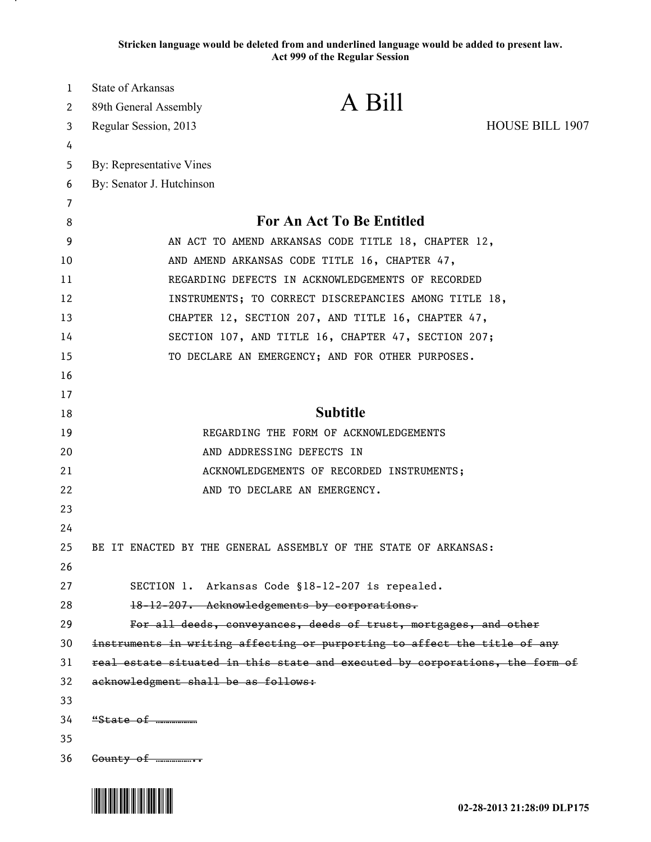**Stricken language would be deleted from and underlined language would be added to present law. Act 999 of the Regular Session**

| 1  | State of Arkansas                   |                                                                              |                        |
|----|-------------------------------------|------------------------------------------------------------------------------|------------------------|
| 2  | 89th General Assembly               | A Bill                                                                       |                        |
| 3  | Regular Session, 2013               |                                                                              | <b>HOUSE BILL 1907</b> |
| 4  |                                     |                                                                              |                        |
| 5  | By: Representative Vines            |                                                                              |                        |
| 6  | By: Senator J. Hutchinson           |                                                                              |                        |
| 7  |                                     |                                                                              |                        |
| 8  |                                     | <b>For An Act To Be Entitled</b>                                             |                        |
| 9  |                                     | AN ACT TO AMEND ARKANSAS CODE TITLE 18, CHAPTER 12,                          |                        |
| 10 |                                     | AND AMEND ARKANSAS CODE TITLE 16, CHAPTER 47,                                |                        |
| 11 |                                     | REGARDING DEFECTS IN ACKNOWLEDGEMENTS OF RECORDED                            |                        |
| 12 |                                     | INSTRUMENTS; TO CORRECT DISCREPANCIES AMONG TITLE 18,                        |                        |
| 13 |                                     | CHAPTER 12, SECTION 207, AND TITLE 16, CHAPTER 47,                           |                        |
| 14 |                                     | SECTION 107, AND TITLE 16, CHAPTER 47, SECTION 207;                          |                        |
| 15 |                                     | TO DECLARE AN EMERGENCY; AND FOR OTHER PURPOSES.                             |                        |
| 16 |                                     |                                                                              |                        |
| 17 |                                     |                                                                              |                        |
| 18 |                                     | <b>Subtitle</b>                                                              |                        |
| 19 |                                     | REGARDING THE FORM OF ACKNOWLEDGEMENTS                                       |                        |
| 20 |                                     | AND ADDRESSING DEFECTS IN                                                    |                        |
| 21 |                                     | ACKNOWLEDGEMENTS OF RECORDED INSTRUMENTS;                                    |                        |
| 22 |                                     | AND TO DECLARE AN EMERGENCY.                                                 |                        |
| 23 |                                     |                                                                              |                        |
| 24 |                                     |                                                                              |                        |
| 25 |                                     | BE IT ENACTED BY THE GENERAL ASSEMBLY OF THE STATE OF ARKANSAS:              |                        |
| 26 |                                     |                                                                              |                        |
| 27 |                                     | SECTION 1. Arkansas Code §18-12-207 is repealed.                             |                        |
| 28 |                                     | 18-12-207. Acknowledgements by corporations.                                 |                        |
| 29 |                                     | For all deeds, conveyances, deeds of trust, mortgages, and other             |                        |
| 30 |                                     | instruments in writing affecting or purporting to affect the title of any    |                        |
| 31 |                                     | real estate situated in this state and executed by corporations, the form of |                        |
| 32 | acknowledgment shall be as follows: |                                                                              |                        |
| 33 |                                     |                                                                              |                        |
| 34 | $"State of$ $$                      |                                                                              |                        |
| 35 |                                     |                                                                              |                        |
| 36 | $Gounty$ of $\ldots$                |                                                                              |                        |

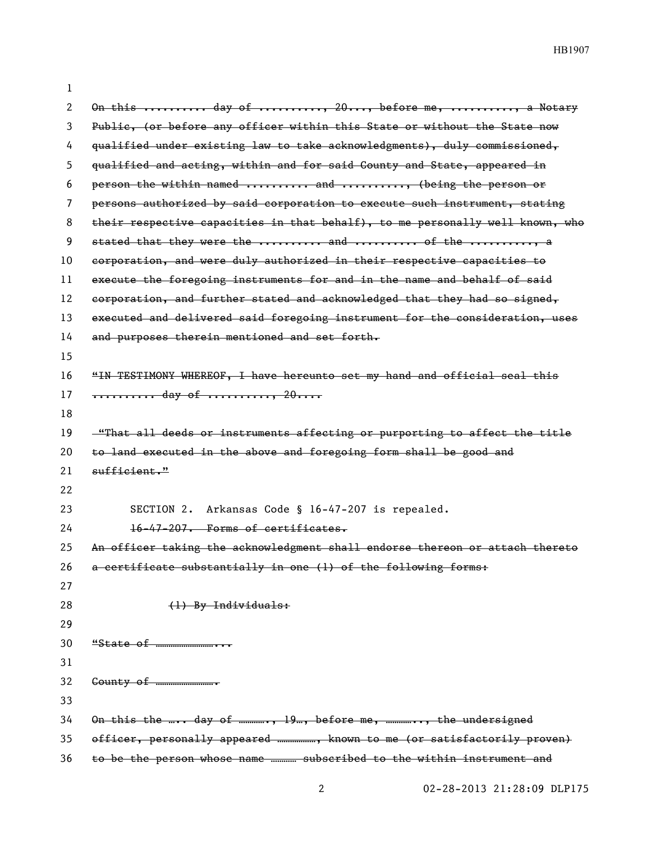| 1  |                                                                                    |
|----|------------------------------------------------------------------------------------|
| 2  | On this  day of , 20, before me, , a Notary                                        |
| 3  | Public, (or before any officer within this State or without the State now          |
| 4  | qualified under existing law to take acknowledgments), duly commissioned,          |
| 5  | qualified and acting, within and for said County and State, appeared in            |
| 6  | person the within named  and , (being the person or                                |
| 7  | persons authorized by said corporation to execute such instrument, stating         |
| 8  | their respective capacities in that behalf), to me personally well known, who      |
| 9  | stated that they were the  and  of the  a                                          |
| 10 | corporation, and were duly authorized in their respective capacities to            |
| 11 | execute the foregoing instruments for and in the name and behalf of said           |
| 12 | corporation, and further stated and acknowledged that they had so signed,          |
| 13 | executed and delivered said foregoing instrument for the consideration, uses       |
| 14 | and purposes therein mentioned and set forth.                                      |
| 15 |                                                                                    |
| 16 | "IN TESTIMONY WHEREOF, I have hereunto set my hand and official seal this          |
| 17 | <del></del> day of , 20                                                            |
| 18 |                                                                                    |
| 19 | <u>-"That all deeds or instruments affecting or purporting to affect the title</u> |
| 20 | to land executed in the above and foregoing form shall be good and                 |
| 21 | $\frac{$ sufficient."                                                              |
| 22 |                                                                                    |
| 23 | Arkansas Code § 16-47-207 is repealed.<br>SECTION 2.                               |
| 24 | 16-47-207. Forms of certificates.                                                  |
| 25 | An officer taking the acknowledgment shall endorse thereon or attach thereto       |
| 26 | a certificate substantially in one (1) of the following forms:                     |
| 27 |                                                                                    |
| 28 | (1) By Individuals:                                                                |
| 29 |                                                                                    |
| 30 |                                                                                    |
| 31 |                                                                                    |
| 32 |                                                                                    |
| 33 |                                                                                    |
| 34 | On this the  day of , 19, before me, , the undersigned                             |
| 35 | officer, personally appeared , known to me (or satisfactorily proven)              |
| 36 | to be the person whose name  subscribed to the within instrument and               |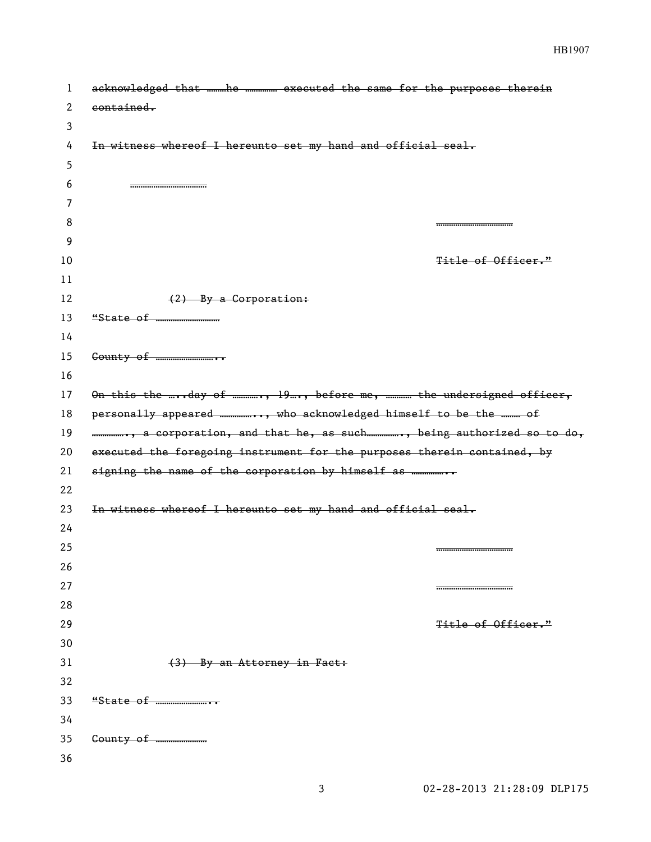| 1  | acknowledged that he  executed the same for the purposes therein         |
|----|--------------------------------------------------------------------------|
| 2  | contained.                                                               |
| 3  |                                                                          |
| 4  | In witness whereof I hereunto set my hand and official seal.             |
| 5  |                                                                          |
| 6  |                                                                          |
| 7  |                                                                          |
| 8  |                                                                          |
| 9  |                                                                          |
| 10 | Title of Officer."                                                       |
| 11 |                                                                          |
| 12 | $(2)$ By a Corporation:                                                  |
| 13 |                                                                          |
| 14 |                                                                          |
| 15 |                                                                          |
| 16 |                                                                          |
| 17 | On this the day of , 19, before me,  the undersigned officer,            |
| 18 | personally appeared , who acknowledged himself to be the  of             |
|    |                                                                          |
| 19 | , a corporation, and that he, as such, being authorized so to do,        |
| 20 | executed the foregoing instrument for the purposes therein contained, by |
| 21 |                                                                          |
| 22 |                                                                          |
| 23 | In witness whereof I hereunto set my hand and official seal.             |
| 24 |                                                                          |
| 25 |                                                                          |
| 26 |                                                                          |
| 27 |                                                                          |
| 28 |                                                                          |
| 29 | <del>Title of Officer."</del>                                            |
| 30 |                                                                          |
| 31 | (3) By an Attorney in Fact:                                              |
| 32 |                                                                          |
| 33 |                                                                          |
| 34 |                                                                          |
| 35 |                                                                          |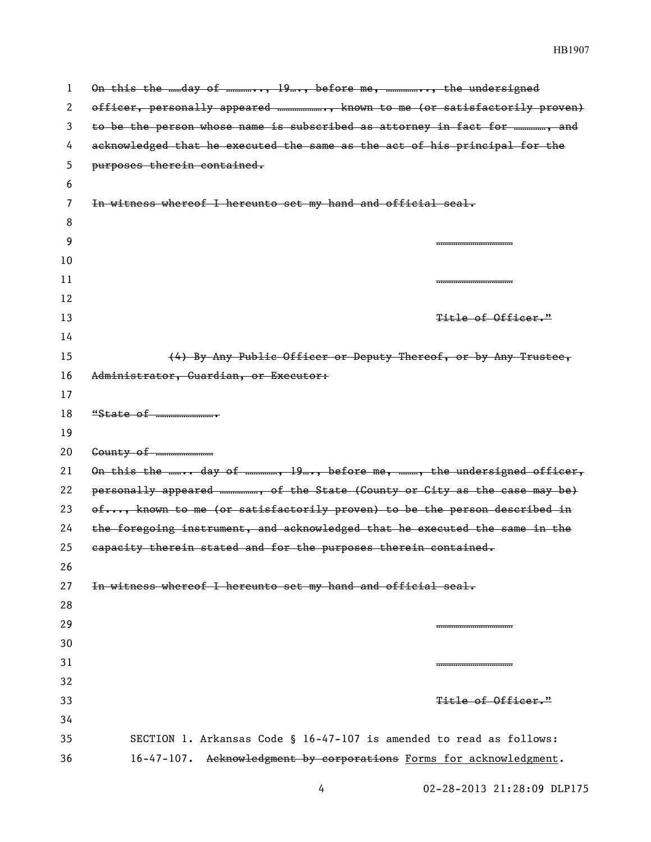| 1  | On this the day of , 19, before me, , the undersigned                       |
|----|-----------------------------------------------------------------------------|
| 2  | officer, personally appeared , known to me (or satisfactorily proven)       |
| 3  | to be the person whose name is subscribed as attorney in fact for , and     |
| 4  | acknowledged that he executed the same as the act of his principal for the  |
| 5  | purposes therein contained.                                                 |
| 6  |                                                                             |
| 7  | In witness whereof I hereunto set my hand and official seal.                |
| 8  |                                                                             |
| 9  |                                                                             |
| 10 |                                                                             |
| 11 |                                                                             |
| 12 |                                                                             |
| 13 | Title of Officer."                                                          |
| 14 |                                                                             |
| 15 | (4) By Any Public Officer or Deputy Thereof, or by Any Trustee,             |
| 16 | Administrator, Guardian, or Executor:                                       |
| 17 |                                                                             |
| 18 |                                                                             |
| 19 |                                                                             |
| 20 |                                                                             |
| 21 | On this the  day of , 19, before me, , the undersigned officer,             |
| 22 | personally appeared , of the State (Gounty or City as the case may be)      |
| 23 | of, known to me (or satisfactorily proven) to be the person described in    |
| 24 | the foregoing instrument, and acknowledged that he executed the same in the |
| 25 | eapacity therein stated and for the purposes therein contained.             |
| 26 |                                                                             |
| 27 | In witness whereof I hereunto set my hand and official seal.                |
| 28 |                                                                             |
| 29 |                                                                             |
| 30 |                                                                             |
| 31 |                                                                             |
| 32 |                                                                             |
| 33 | <del>Title of Officer."</del>                                               |
| 34 |                                                                             |
| 35 | SECTION 1. Arkansas Code § 16-47-107 is amended to read as follows:         |
| 36 | 16-47-107. Acknowledgment by corporations Forms for acknowledgment.         |

02-28-2013 21:28:09 DLP175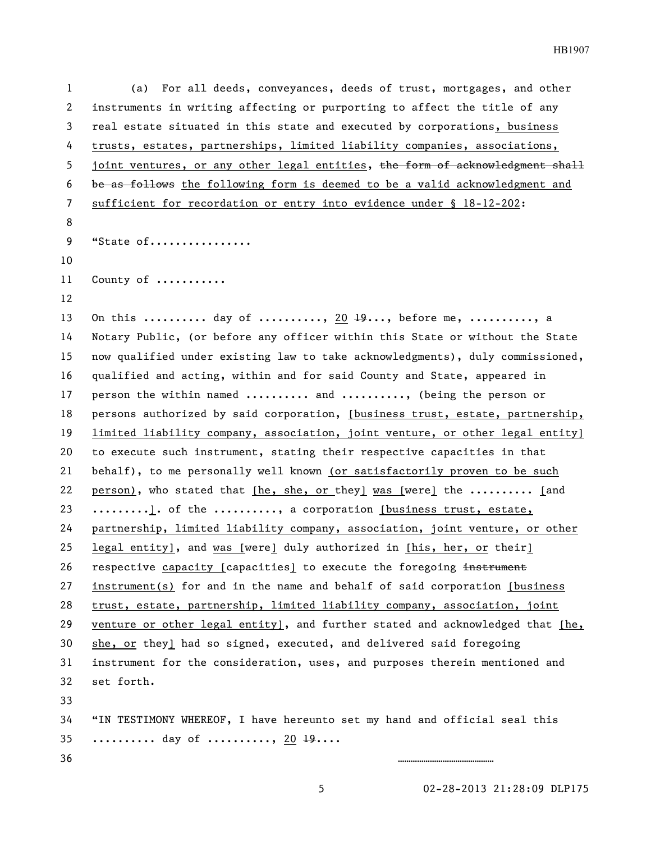(a) For all deeds, conveyances, deeds of trust, mortgages, and other instruments in writing affecting or purporting to affect the title of any real estate situated in this state and executed by corporations, business 4 trusts, estates, partnerships, limited liability companies, associations, 5 joint ventures, or any other legal entities, the form of acknowledgment shall be as follows the following form is deemed to be a valid acknowledgment and sufficient for recordation or entry into evidence under § 18-12-202: 9 "State of................ 11 County of ........... 13 On this .......... day of .........., 20  $\frac{19}{19}$ ..., before me, .........., a Notary Public, (or before any officer within this State or without the State now qualified under existing law to take acknowledgments), duly commissioned, qualified and acting, within and for said County and State, appeared in 17 person the within named .......... and .........., (being the person or persons authorized by said corporation, [business trust, estate, partnership, 19 limited liability company, association, joint venture, or other legal entity] to execute such instrument, stating their respective capacities in that behalf), to me personally well known (or satisfactorily proven to be such person), who stated that [he, she, or they] was [were] the .......... [and 23 .........]. of the ........., a corporation [business trust, estate, partnership, limited liability company, association, joint venture, or other legal entity], and was [were] duly authorized in [his, her, or their] 26 respective capacity [capacities] to execute the foregoing instrument instrument(s) for and in the name and behalf of said corporation [business trust, estate, partnership, limited liability company, association, joint venture or other legal entity], and further stated and acknowledged that [he, 30 she, or they] had so signed, executed, and delivered said foregoing instrument for the consideration, uses, and purposes therein mentioned and set forth. "IN TESTIMONY WHEREOF, I have hereunto set my hand and official seal this 35 ........... day of .........., 20  $\frac{19}{19}$ .... ………………………………………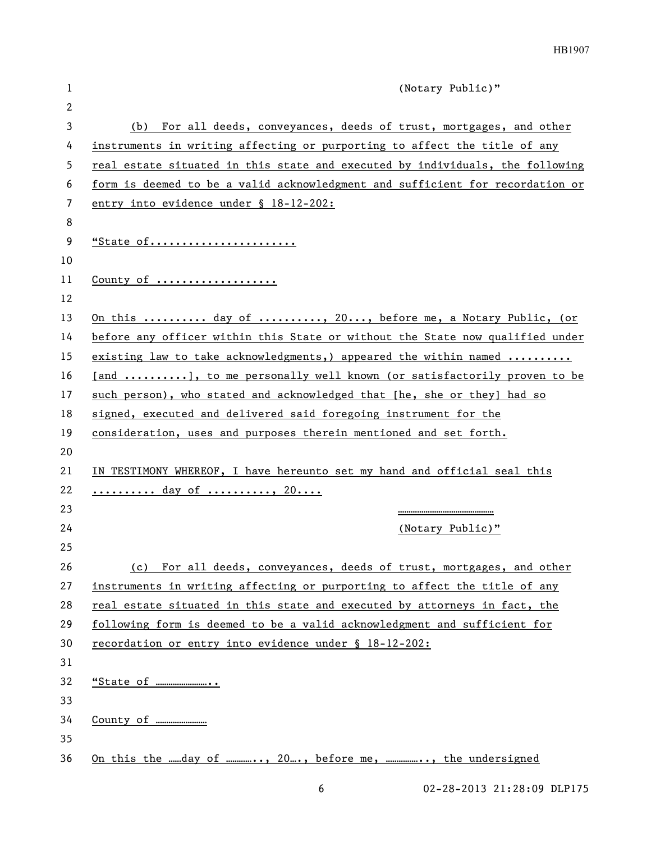| 1  | (Notary Public)"                                                              |
|----|-------------------------------------------------------------------------------|
| 2  |                                                                               |
| 3  | (b) For all deeds, conveyances, deeds of trust, mortgages, and other          |
| 4  | instruments in writing affecting or purporting to affect the title of any     |
| 5  | real estate situated in this state and executed by individuals, the following |
| 6  | form is deemed to be a valid acknowledgment and sufficient for recordation or |
| 7  | entry into evidence under § 18-12-202:                                        |
| 8  |                                                                               |
| 9  | "State of                                                                     |
| 10 |                                                                               |
| 11 | County of $\dots\dots\dots\dots\dots\dots$                                    |
| 12 |                                                                               |
| 13 | On this <u>day of </u> , 20, before me, a Notary Public, (or                  |
| 14 | before any officer within this State or without the State now qualified under |
| 15 | existing law to take acknowledgments,) appeared the within named              |
| 16 | [and ], to me personally well known (or satisfactorily proven to be           |
| 17 | such person), who stated and acknowledged that [he, she or they] had so       |
| 18 | signed, executed and delivered said foregoing instrument for the              |
| 19 | consideration, uses and purposes therein mentioned and set forth.             |
| 20 |                                                                               |
| 21 | IN TESTIMONY WHEREOF, I have hereunto set my hand and official seal this      |
| 22 | <u> day of , 20</u>                                                           |
| 23 |                                                                               |
| 24 | (Notary Public)"                                                              |
| 25 |                                                                               |
| 26 | (c) For all deeds, conveyances, deeds of trust, mortgages, and other          |
| 27 | instruments in writing affecting or purporting to affect the title of any     |
| 28 | real estate situated in this state and executed by attorneys in fact, the     |
| 29 | following form is deemed to be a valid acknowledgment and sufficient for      |
| 30 | recordation or entry into evidence under § 18-12-202:                         |
| 31 |                                                                               |
| 32 |                                                                               |
| 33 |                                                                               |
| 34 |                                                                               |
| 35 |                                                                               |
| 36 | On this the day of , 20, before me, , the undersigned                         |

6 02-28-2013 21:28:09 DLP175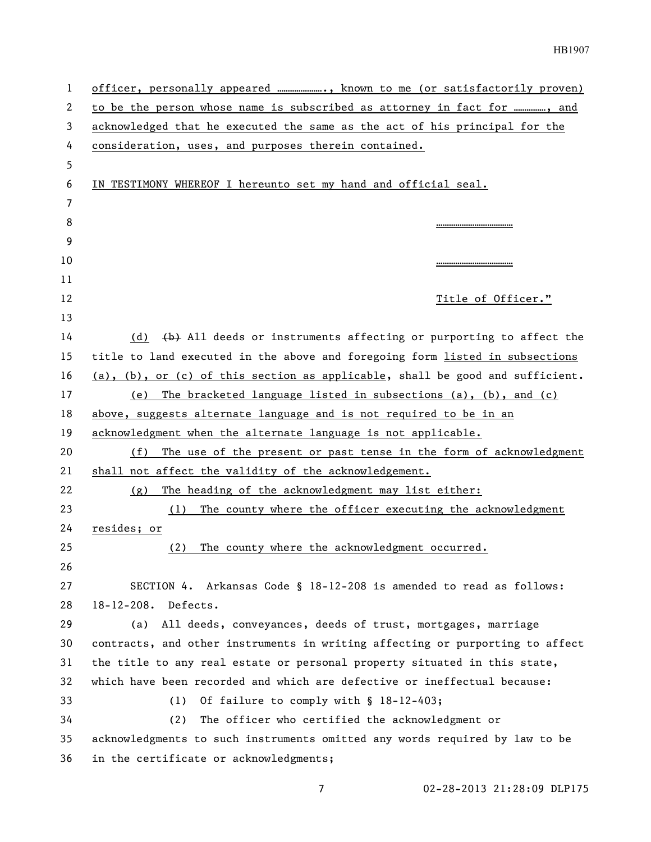| $\mathbf{1}$ | officer, personally appeared , known to me (or satisfactorily proven)            |
|--------------|----------------------------------------------------------------------------------|
| 2            | to be the person whose name is subscribed as attorney in fact for , and          |
| 3            | acknowledged that he executed the same as the act of his principal for the       |
| 4            | consideration, uses, and purposes therein contained.                             |
| 5            |                                                                                  |
| 6            | IN TESTIMONY WHEREOF I hereunto set my hand and official seal.                   |
| 7            |                                                                                  |
| 8            |                                                                                  |
| 9            |                                                                                  |
| 10           |                                                                                  |
| 11           |                                                                                  |
| 12           | Title of Officer."                                                               |
| 13           |                                                                                  |
| 14           | (b) All deeds or instruments affecting or purporting to affect the<br>(d)        |
| 15           | title to land executed in the above and foregoing form listed in subsections     |
| 16           | $(a)$ , (b), or (c) of this section as applicable, shall be good and sufficient. |
| 17           | The bracketed language listed in subsections (a), (b), and (c)<br>(e)            |
| 18           | above, suggests alternate language and is not required to be in an               |
| 19           | acknowledgment when the alternate language is not applicable.                    |
| 20           | The use of the present or past tense in the form of acknowledgment<br>(f)        |
| 21           | shall not affect the validity of the acknowledgement.                            |
| 22           | The heading of the acknowledgment may list either:<br>(g)                        |
| 23           | The county where the officer executing the acknowledgment<br>(1)                 |
| 24           | resides; or                                                                      |
| 25           | The county where the acknowledgment occurred.<br>(2)                             |
| 26           |                                                                                  |
| 27           | SECTION 4. Arkansas Code § 18-12-208 is amended to read as follows:              |
| 28           | 18-12-208. Defects.                                                              |
| 29           | All deeds, conveyances, deeds of trust, mortgages, marriage<br>(a)               |
| 30           | contracts, and other instruments in writing affecting or purporting to affect    |
| 31           | the title to any real estate or personal property situated in this state,        |
| 32           | which have been recorded and which are defective or ineffectual because:         |
| 33           | Of failure to comply with § 18-12-403;<br>(1)                                    |
| 34           | (2)<br>The officer who certified the acknowledgment or                           |
| 35           | acknowledgments to such instruments omitted any words required by law to be      |
| 36           | in the certificate or acknowledgments;                                           |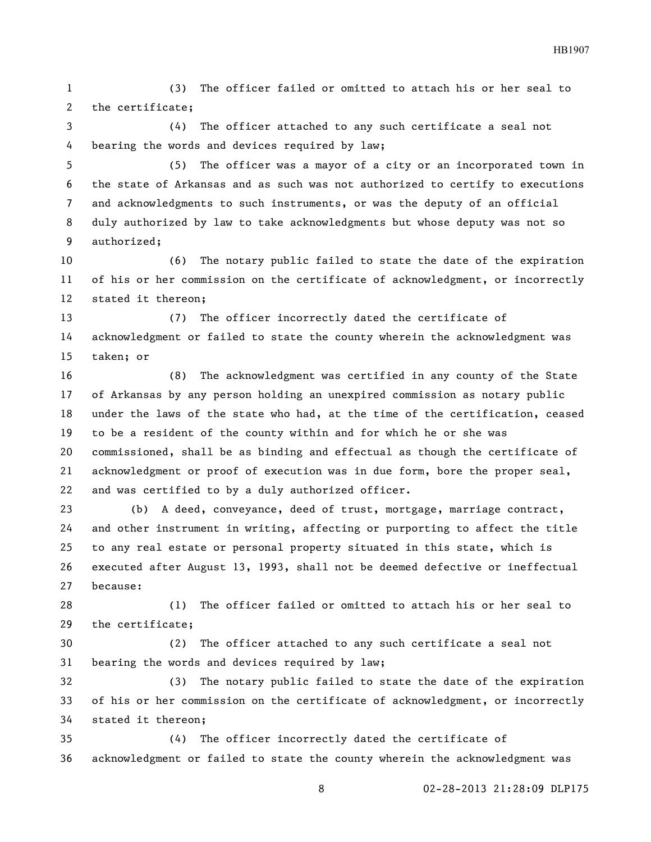(3) The officer failed or omitted to attach his or her seal to the certificate;

 (4) The officer attached to any such certificate a seal not bearing the words and devices required by law;

 (5) The officer was a mayor of a city or an incorporated town in the state of Arkansas and as such was not authorized to certify to executions and acknowledgments to such instruments, or was the deputy of an official duly authorized by law to take acknowledgments but whose deputy was not so authorized;

 (6) The notary public failed to state the date of the expiration of his or her commission on the certificate of acknowledgment, or incorrectly stated it thereon;

 (7) The officer incorrectly dated the certificate of acknowledgment or failed to state the county wherein the acknowledgment was taken; or

 (8) The acknowledgment was certified in any county of the State of Arkansas by any person holding an unexpired commission as notary public under the laws of the state who had, at the time of the certification, ceased to be a resident of the county within and for which he or she was commissioned, shall be as binding and effectual as though the certificate of acknowledgment or proof of execution was in due form, bore the proper seal, and was certified to by a duly authorized officer.

 (b) A deed, conveyance, deed of trust, mortgage, marriage contract, and other instrument in writing, affecting or purporting to affect the title to any real estate or personal property situated in this state, which is executed after August 13, 1993, shall not be deemed defective or ineffectual because:

 (1) The officer failed or omitted to attach his or her seal to the certificate;

 (2) The officer attached to any such certificate a seal not bearing the words and devices required by law;

 (3) The notary public failed to state the date of the expiration of his or her commission on the certificate of acknowledgment, or incorrectly stated it thereon;

 (4) The officer incorrectly dated the certificate of acknowledgment or failed to state the county wherein the acknowledgment was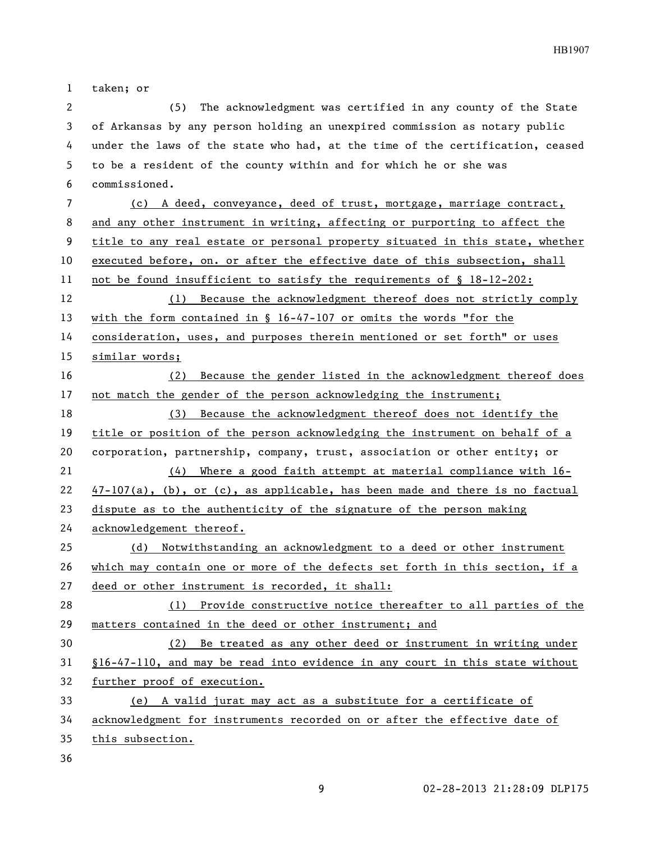taken; or (5) The acknowledgment was certified in any county of the State of Arkansas by any person holding an unexpired commission as notary public under the laws of the state who had, at the time of the certification, ceased to be a resident of the county within and for which he or she was commissioned. (c) A deed, conveyance, deed of trust, mortgage, marriage contract, and any other instrument in writing, affecting or purporting to affect the title to any real estate or personal property situated in this state, whether executed before, on. or after the effective date of this subsection, shall not be found insufficient to satisfy the requirements of § 18-12-202: (1) Because the acknowledgment thereof does not strictly comply with the form contained in § 16-47-107 or omits the words "for the consideration, uses, and purposes therein mentioned or set forth" or uses similar words; (2) Because the gender listed in the acknowledgment thereof does not match the gender of the person acknowledging the instrument; (3) Because the acknowledgment thereof does not identify the title or position of the person acknowledging the instrument on behalf of a corporation, partnership, company, trust, association or other entity; or (4) Where a good faith attempt at material compliance with 16- 47-107(a), (b), or (c), as applicable, has been made and there is no factual dispute as to the authenticity of the signature of the person making acknowledgement thereof. (d) Notwithstanding an acknowledgment to a deed or other instrument which may contain one or more of the defects set forth in this section, if a deed or other instrument is recorded, it shall: (1) Provide constructive notice thereafter to all parties of the matters contained in the deed or other instrument; and (2) Be treated as any other deed or instrument in writing under §16-47-110, and may be read into evidence in any court in this state without further proof of execution. (e) A valid jurat may act as a substitute for a certificate of

acknowledgment for instruments recorded on or after the effective date of

this subsection.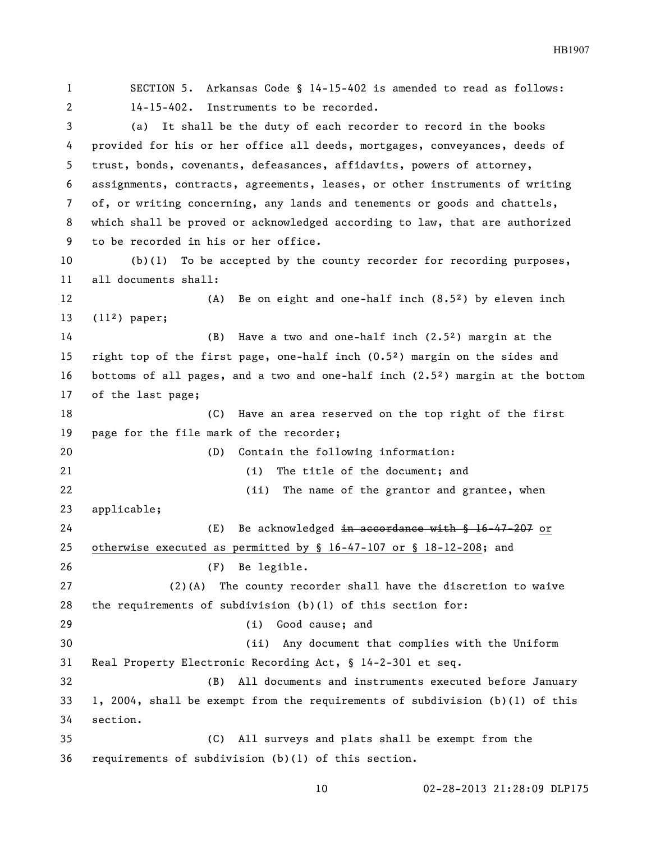SECTION 5. Arkansas Code § 14-15-402 is amended to read as follows: 14-15-402. Instruments to be recorded. (a) It shall be the duty of each recorder to record in the books provided for his or her office all deeds, mortgages, conveyances, deeds of trust, bonds, covenants, defeasances, affidavits, powers of attorney, assignments, contracts, agreements, leases, or other instruments of writing of, or writing concerning, any lands and tenements or goods and chattels, which shall be proved or acknowledged according to law, that are authorized to be recorded in his or her office. (b)(1) To be accepted by the county recorder for recording purposes, all documents shall: (A) Be on eight and one-half inch (8.5²) by eleven inch (11²) paper; (B) Have a two and one-half inch (2.5²) margin at the right top of the first page, one-half inch (0.5²) margin on the sides and bottoms of all pages, and a two and one-half inch (2.5²) margin at the bottom of the last page; (C) Have an area reserved on the top right of the first page for the file mark of the recorder; (D) Contain the following information: (i) The title of the document; and 22 (ii) The name of the grantor and grantee, when applicable; 24 (E) Be acknowledged in accordance with § 16-47-207 or otherwise executed as permitted by § 16-47-107 or § 18-12-208; and (F) Be legible. (2)(A) The county recorder shall have the discretion to waive the requirements of subdivision (b)(1) of this section for: (i) Good cause; and (ii) Any document that complies with the Uniform Real Property Electronic Recording Act, § 14-2-301 et seq. (B) All documents and instruments executed before January 1, 2004, shall be exempt from the requirements of subdivision (b)(1) of this section. (C) All surveys and plats shall be exempt from the requirements of subdivision (b)(1) of this section.

HB1907

## 02-28-2013 21:28:09 DLP175